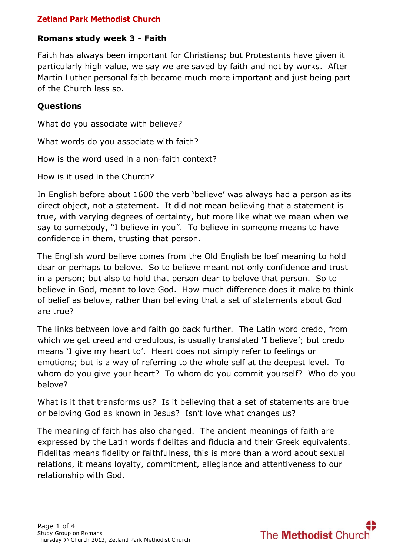#### **Romans study week 3 - Faith**

Faith has always been important for Christians; but Protestants have given it particularly high value, we say we are saved by faith and not by works. After Martin Luther personal faith became much more important and just being part of the Church less so.

### **Questions**

What do you associate with believe?

What words do you associate with faith?

How is the word used in a non-faith context?

How is it used in the Church?

In English before about 1600 the verb 'believe' was always had a person as its direct object, not a statement. It did not mean believing that a statement is true, with varying degrees of certainty, but more like what we mean when we say to somebody, "I believe in you". To believe in someone means to have confidence in them, trusting that person.

The English word believe comes from the Old English be loef meaning to hold dear or perhaps to belove. So to believe meant not only confidence and trust in a person; but also to hold that person dear to belove that person. So to believe in God, meant to love God. How much difference does it make to think of belief as belove, rather than believing that a set of statements about God are true?

The links between love and faith go back further. The Latin word credo, from which we get creed and credulous, is usually translated 'I believe'; but credo means 'I give my heart to'. Heart does not simply refer to feelings or emotions; but is a way of referring to the whole self at the deepest level. To whom do you give your heart? To whom do you commit yourself? Who do you belove?

What is it that transforms us? Is it believing that a set of statements are true or beloving God as known in Jesus? Isn't love what changes us?

The meaning of faith has also changed. The ancient meanings of faith are expressed by the Latin words fidelitas and fiducia and their Greek equivalents. Fidelitas means fidelity or faithfulness, this is more than a word about sexual relations, it means loyalty, commitment, allegiance and attentiveness to our relationship with God.

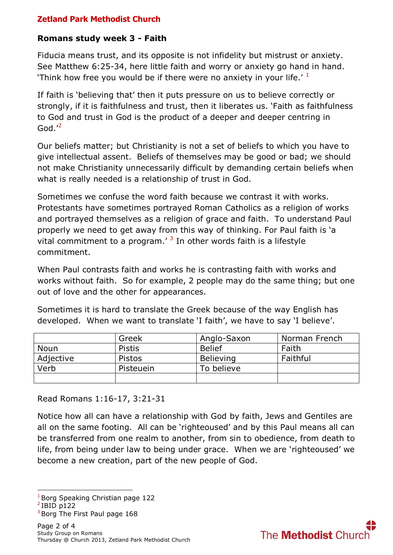## **Romans study week 3 - Faith**

Fiducia means trust, and its opposite is not infidelity but mistrust or anxiety. See Matthew 6:25-34, here little faith and worry or anxiety go hand in hand. 'Think how free you would be if there were no anxiety in your life.'  $1$ 

If faith is 'believing that' then it puts pressure on us to believe correctly or strongly, if it is faithfulness and trust, then it liberates us. 'Faith as faithfulness to God and trust in God is the product of a deeper and deeper centring in God. $^{\prime2}$ 

Our beliefs matter; but Christianity is not a set of beliefs to which you have to give intellectual assent. Beliefs of themselves may be good or bad; we should not make Christianity unnecessarily difficult by demanding certain beliefs when what is really needed is a relationship of trust in God.

Sometimes we confuse the word faith because we contrast it with works. Protestants have sometimes portrayed Roman Catholics as a religion of works and portrayed themselves as a religion of grace and faith. To understand Paul properly we need to get away from this way of thinking. For Paul faith is 'a vital commitment to a program.<sup> $\frac{3}{1}$ </sup> In other words faith is a lifestyle commitment.

When Paul contrasts faith and works he is contrasting faith with works and works without faith. So for example, 2 people may do the same thing; but one out of love and the other for appearances.

Sometimes it is hard to translate the Greek because of the way English has developed. When we want to translate 'I faith', we have to say 'I believe'.

|             | Greek         | Anglo-Saxon      | Norman French |
|-------------|---------------|------------------|---------------|
| <b>Noun</b> | <b>Pistis</b> | <b>Belief</b>    | Faith         |
| Adjective   | <b>Pistos</b> | <b>Believing</b> | Faithful      |
| Verb        | Pisteuein     | To believe       |               |
|             |               |                  |               |

Read Romans 1:16-17, 3:21-31

Notice how all can have a relationship with God by faith, Jews and Gentiles are all on the same footing. All can be 'righteoused' and by this Paul means all can be transferred from one realm to another, from sin to obedience, from death to life, from being under law to being under grace. When we are 'righteoused' we become a new creation, part of the new people of God.

<sup>1</sup>Borg Speaking Christian page 122

1



 $2$ IBID p122

 $3$ Borg The First Paul page 168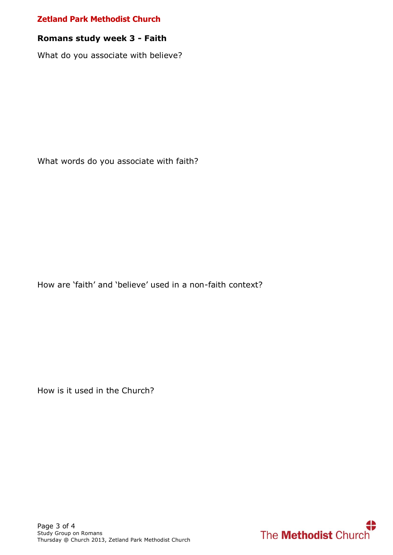#### **Romans study week 3 - Faith**

What do you associate with believe?

What words do you associate with faith?

How are 'faith' and 'believe' used in a non-faith context?

How is it used in the Church?